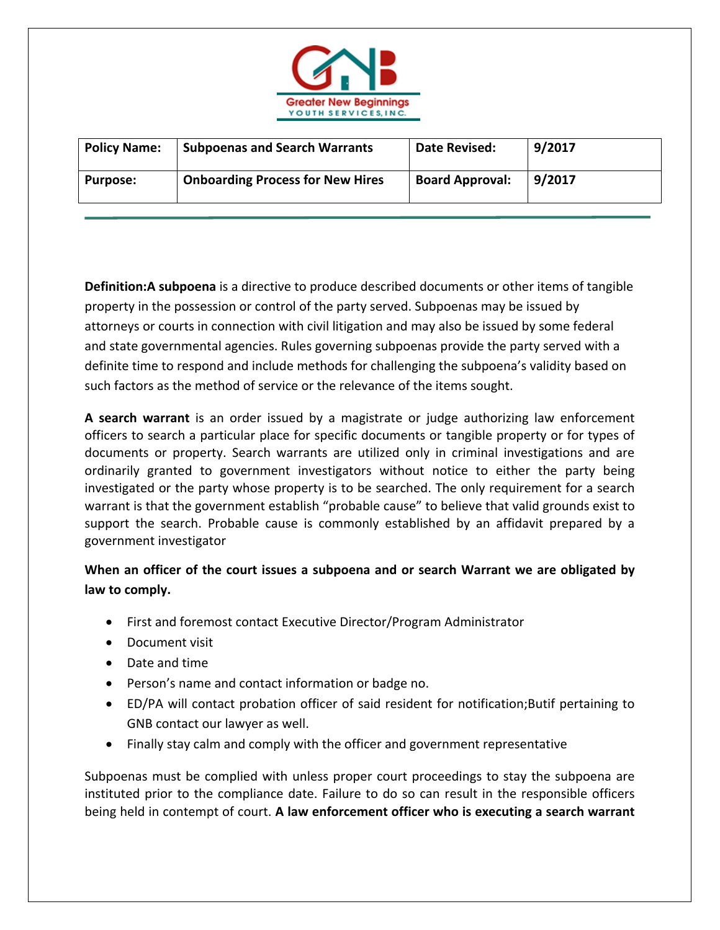

| <b>Policy Name:</b> | <b>Subpoenas and Search Warrants</b>    | Date Revised:          | 9/2017 |
|---------------------|-----------------------------------------|------------------------|--------|
| <b>Purpose:</b>     | <b>Onboarding Process for New Hires</b> | <b>Board Approval:</b> | 9/2017 |

**Definition:A subpoena** is a directive to produce described documents or other items of tangible property in the possession or control of the party served. Subpoenas may be issued by attorneys or courts in connection with civil litigation and may also be issued by some federal and state governmental agencies. Rules governing subpoenas provide the party served with a definite time to respond and include methods for challenging the subpoena's validity based on such factors as the method of service or the relevance of the items sought.

**A search warrant** is an order issued by a magistrate or judge authorizing law enforcement officers to search a particular place for specific documents or tangible property or for types of documents or property. Search warrants are utilized only in criminal investigations and are ordinarily granted to government investigators without notice to either the party being investigated or the party whose property is to be searched. The only requirement for a search warrant is that the government establish "probable cause" to believe that valid grounds exist to support the search. Probable cause is commonly established by an affidavit prepared by a government investigator

## **When an officer of the court issues a subpoena and or search Warrant we are obligated by law to comply.**

- First and foremost contact Executive Director/Program Administrator
- Document visit
- Date and time
- Person's name and contact information or badge no.
- ED/PA will contact probation officer of said resident for notification;Butif pertaining to GNB contact our lawyer as well.
- Finally stay calm and comply with the officer and government representative

Subpoenas must be complied with unless proper court proceedings to stay the subpoena are instituted prior to the compliance date. Failure to do so can result in the responsible officers being held in contempt of court. **A law enforcement officer who is executing a search warrant**